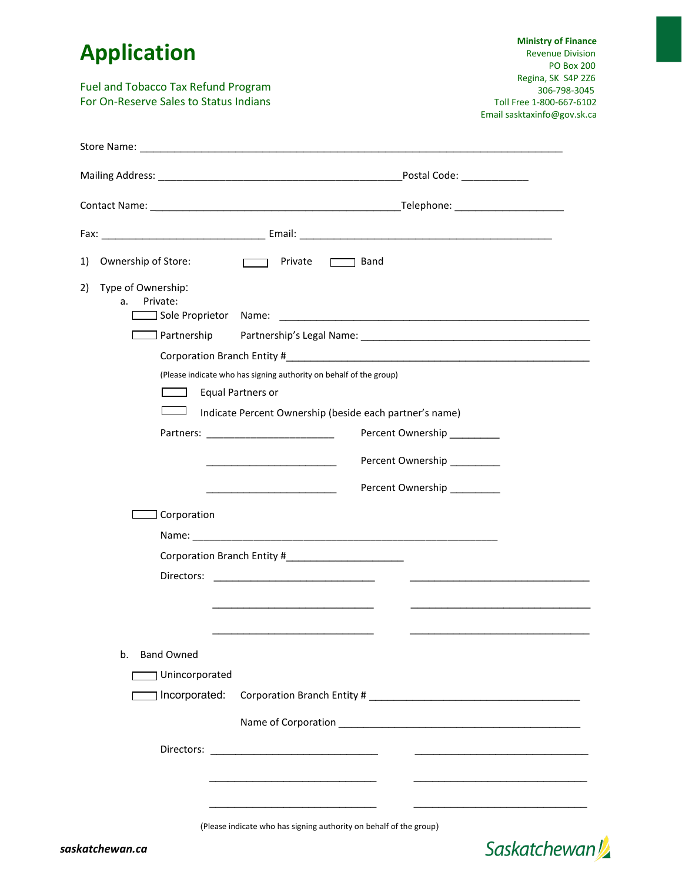## **Application**

Fuel and Tobacco Tax Refund Program For On-Reserve Sales to Status Indians

 **Ministry of Finance** Revenue Division PO Box 200 Regina, SK S4P 2Z6 306-798-3045 Toll Free 1-800-667-6102 Email sasktaxinfo@gov.sk.ca

| Ownership of Store:<br>1)                  | $\Box$ Private<br>$\Box$ Band                                                                                                                                                                                                        |
|--------------------------------------------|--------------------------------------------------------------------------------------------------------------------------------------------------------------------------------------------------------------------------------------|
| Type of Ownership:<br>2)<br>Private:<br>а. |                                                                                                                                                                                                                                      |
|                                            |                                                                                                                                                                                                                                      |
|                                            |                                                                                                                                                                                                                                      |
|                                            |                                                                                                                                                                                                                                      |
|                                            | (Please indicate who has signing authority on behalf of the group)                                                                                                                                                                   |
| <b>Contract</b>                            | <b>Equal Partners or</b>                                                                                                                                                                                                             |
|                                            | Indicate Percent Ownership (beside each partner's name)                                                                                                                                                                              |
|                                            | Percent Ownership                                                                                                                                                                                                                    |
|                                            | Percent Ownership                                                                                                                                                                                                                    |
|                                            | Percent Ownership<br><u> 1989 - Johann Barbara, martin a</u>                                                                                                                                                                         |
| Corporation                                |                                                                                                                                                                                                                                      |
|                                            |                                                                                                                                                                                                                                      |
|                                            |                                                                                                                                                                                                                                      |
|                                            | $\frac{1}{2}$ . The contract of the contract of the contract of the contract of the contract of the contract of the contract of the contract of the contract of the contract of the contract of the contract of the contract of t    |
|                                            |                                                                                                                                                                                                                                      |
|                                            |                                                                                                                                                                                                                                      |
|                                            |                                                                                                                                                                                                                                      |
| <b>Band Owned</b><br>b.                    |                                                                                                                                                                                                                                      |
|                                            | Unincorporated                                                                                                                                                                                                                       |
| ] Incorporated:                            |                                                                                                                                                                                                                                      |
|                                            |                                                                                                                                                                                                                                      |
|                                            |                                                                                                                                                                                                                                      |
|                                            | <u> The Communication of the Communication of the Communication of the Communication of the Communication of the Communication of the Communication of the Communication of the Communication of the Communication of the Commun</u> |
|                                            |                                                                                                                                                                                                                                      |
|                                            |                                                                                                                                                                                                                                      |

(Please indicate who has signing authority on behalf of the group)